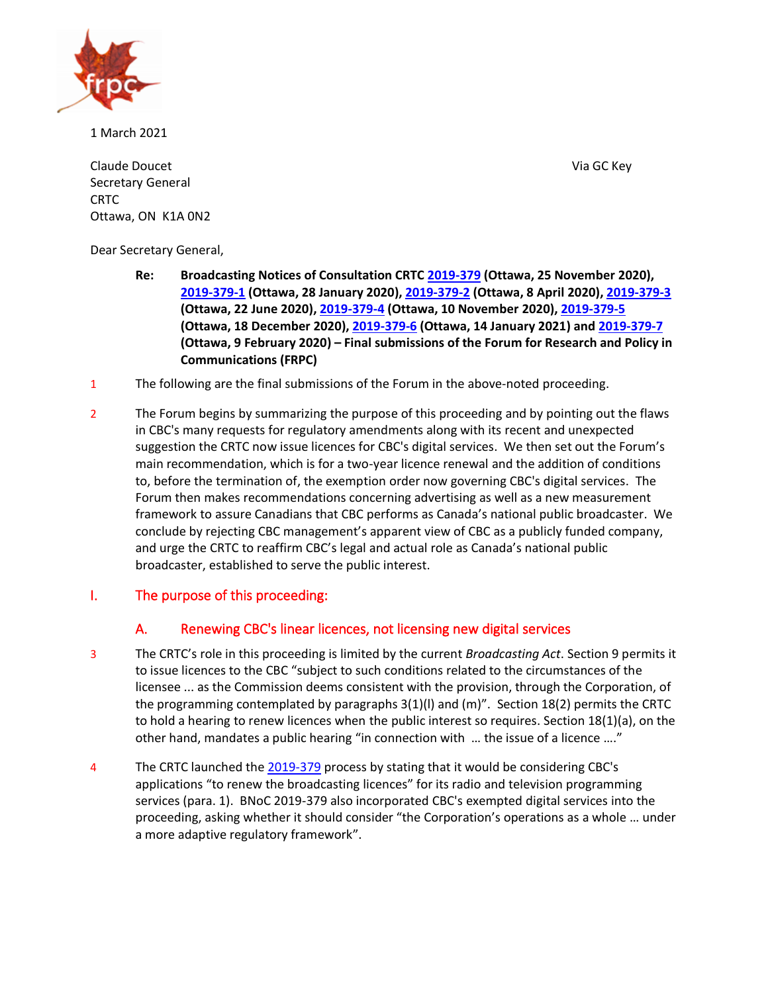

1 March 2021

Claude Doucet Via GC Key Secretary General CRTC Ottawa, ON K1A 0N2

Dear Secretary General,

- **Re: Broadcasting Notices of Consultation CRTC [2019-379](https://crtc.gc.ca/eng/archive/2019/2019-379.htm) (Ottawa, 25 November 2020), [2019-379-1](https://crtc.gc.ca/eng/archive/2019/2019-379-1.htm) (Ottawa, 28 January 2020), [2019-379-2](https://crtc.gc.ca/eng/archive/2019/2019-379-2.htm) (Ottawa, 8 April 2020)[, 2019-379-3](https://crtc.gc.ca/eng/archive/2019/2019-379-3.htm) (Ottawa, 22 June 2020), [2019-379-4](https://crtc.gc.ca/eng/archive/2019/2019-379-4.htm) (Ottawa, 10 November 2020), [2019-379-5](https://crtc.gc.ca/eng/archive/2019/2019-379-5.htm) (Ottawa, 18 December 2020), [2019-379-6](https://crtc.gc.ca/eng/archive/2019/2019-379-6.htm) (Ottawa, 14 January 2021) and [2019-379-7](https://crtc.gc.ca/eng/archive/2019/2019-379-7.htm) (Ottawa, 9 February 2020) – Final submissions of the Forum for Research and Policy in Communications (FRPC)**
- 1 The following are the final submissions of the Forum in the above-noted proceeding.
- 2 The Forum begins by summarizing the purpose of this proceeding and by pointing out the flaws in CBC's many requests for regulatory amendments along with its recent and unexpected suggestion the CRTC now issue licences for CBC's digital services. We then set out the Forum's main recommendation, which is for a two-year licence renewal and the addition of conditions to, before the termination of, the exemption order now governing CBC's digital services. The Forum then makes recommendations concerning advertising as well as a new measurement framework to assure Canadians that CBC performs as Canada's national public broadcaster. We conclude by rejecting CBC management's apparent view of CBC as a publicly funded company, and urge the CRTC to reaffirm CBC's legal and actual role as Canada's national public broadcaster, established to serve the public interest.

### I. The purpose of this proceeding:

# A. Renewing CBC's linear licences, not licensing new digital services

- 3 The CRTC's role in this proceeding is limited by the current *Broadcasting Act*. Section 9 permits it to issue licences to the CBC "subject to such conditions related to the circumstances of the licensee ... as the Commission deems consistent with the provision, through the Corporation, of the programming contemplated by paragraphs 3(1)(l) and (m)". Section 18(2) permits the CRTC to hold a hearing to renew licences when the public interest so requires. Section 18(1)(a), on the other hand, mandates a public hearing "in connection with … the issue of a licence …."
- 4 The CRTC launched th[e 2019-379](https://crtc.gc.ca/eng/archive/2019/2019-379.htm) process by stating that it would be considering CBC's applications "to renew the broadcasting licences" for its radio and television programming services (para. 1). BNoC 2019-379 also incorporated CBC's exempted digital services into the proceeding, asking whether it should consider "the Corporation's operations as a whole … under a more adaptive regulatory framework".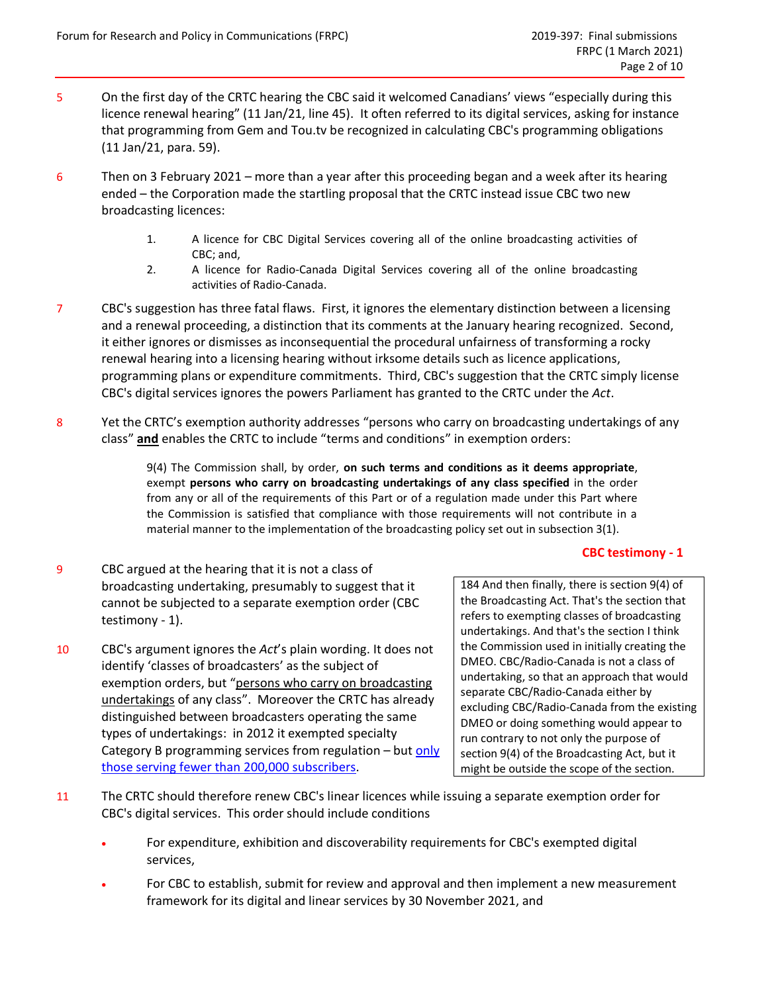- 5 On the first day of the CRTC hearing the CBC said it welcomed Canadians' views "especially during this licence renewal hearing" (11 Jan/21, line 45). It often referred to its digital services, asking for instance that programming from Gem and Tou.tv be recognized in calculating CBC's programming obligations (11 Jan/21, para. 59).
- 6 Then on 3 February 2021 more than a year after this proceeding began and a week after its hearing ended – the Corporation made the startling proposal that the CRTC instead issue CBC two new broadcasting licences:
	- 1. A licence for CBC Digital Services covering all of the online broadcasting activities of CBC; and,
	- 2. A licence for Radio-Canada Digital Services covering all of the online broadcasting activities of Radio-Canada.
- 7 CBC's suggestion has three fatal flaws. First, it ignores the elementary distinction between a licensing and a renewal proceeding, a distinction that its comments at the January hearing recognized. Second, it either ignores or dismisses as inconsequential the procedural unfairness of transforming a rocky renewal hearing into a licensing hearing without irksome details such as licence applications, programming plans or expenditure commitments. Third, CBC's suggestion that the CRTC simply license CBC's digital services ignores the powers Parliament has granted to the CRTC under the *Act*.
- 8 Yet the CRTC's exemption authority addresses "persons who carry on broadcasting undertakings of any class" **and** enables the CRTC to include "terms and conditions" in exemption orders:

9(4) The Commission shall, by order, **on such terms and conditions as it deems appropriate**, exempt **persons who carry on broadcasting undertakings of any class specified** in the order from any or all of the requirements of this Part or of a regulation made under this Part where the Commission is satisfied that compliance with those requirements will not contribute in a material manner to the implementation of the broadcasting policy set out in subsection 3(1).

### **CBC testimony - 1**

- <span id="page-1-0"></span>9 CBC argued at the hearing that it is not a class of broadcasting undertaking, presumably to suggest that it cannot be subjected to a separate exemption order [\(CBC](#page-1-0)  [testimony -](#page-1-0) 1).
- 10 CBC's argument ignores the *Act*'s plain wording. It does not identify 'classes of broadcasters' as the subject of exemption orders, but "persons who carry on broadcasting undertakings of any class". Moreover the CRTC has already distinguished between broadcasters operating the same types of undertakings: in 2012 it exempted specialty Category B programming services from regulation - but only [those serving fewer than 200,000 subscribers.](https://crtc.gc.ca/eng/archive/2012/2012-689.htm)

184 And then finally, there is section 9(4) of the Broadcasting Act. That's the section that refers to exempting classes of broadcasting undertakings. And that's the section I think the Commission used in initially creating the DMEO. CBC/Radio-Canada is not a class of undertaking, so that an approach that would separate CBC/Radio-Canada either by excluding CBC/Radio-Canada from the existing DMEO or doing something would appear to run contrary to not only the purpose of section 9(4) of the Broadcasting Act, but it might be outside the scope of the section.

- 11 The CRTC should therefore renew CBC's linear licences while issuing a separate exemption order for CBC's digital services. This order should include conditions
	- For expenditure, exhibition and discoverability requirements for CBC's exempted digital services,
	- For CBC to establish, submit for review and approval and then implement a new measurement framework for its digital and linear services by 30 November 2021, and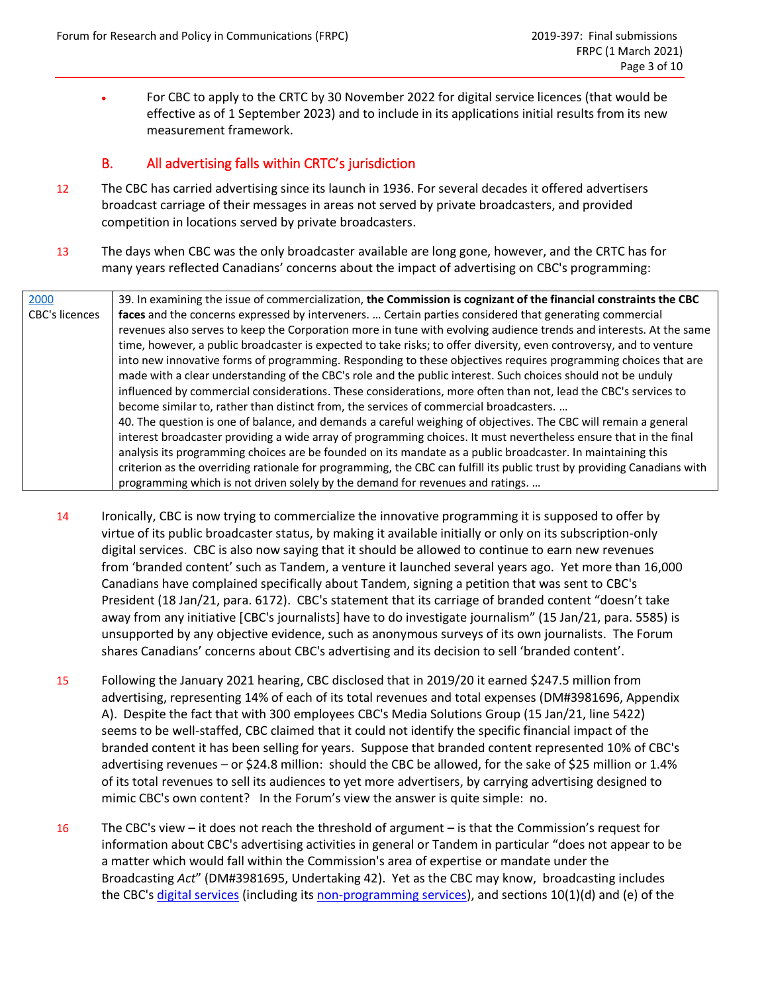• For CBC to apply to the CRTC by 30 November 2022 for digital service licences (that would be effective as of 1 September 2023) and to include in its applications initial results from its new measurement framework.

## B. All advertising falls within CRTC's jurisdiction

- 12 The CBC has carried advertising since its launch in 1936. For several decades it offered advertisers broadcast carriage of their messages in areas not served by private broadcasters, and provided competition in locations served by private broadcasters.
- 13 The days when CBC was the only broadcaster available are long gone, however, and the CRTC has for many years reflected Canadians' concerns about the impact of advertising on CBC's programming:

| 2000           | 39. In examining the issue of commercialization, the Commission is cognizant of the financial constraints the CBC       |
|----------------|-------------------------------------------------------------------------------------------------------------------------|
| CBC's licences | faces and the concerns expressed by interveners.  Certain parties considered that generating commercial                 |
|                | revenues also serves to keep the Corporation more in tune with evolving audience trends and interests. At the same      |
|                | time, however, a public broadcaster is expected to take risks; to offer diversity, even controversy, and to venture     |
|                | into new innovative forms of programming. Responding to these objectives requires programming choices that are          |
|                | made with a clear understanding of the CBC's role and the public interest. Such choices should not be unduly            |
|                | influenced by commercial considerations. These considerations, more often than not, lead the CBC's services to          |
|                | become similar to, rather than distinct from, the services of commercial broadcasters.                                  |
|                | 40. The question is one of balance, and demands a careful weighing of objectives. The CBC will remain a general         |
|                | interest broadcaster providing a wide array of programming choices. It must nevertheless ensure that in the final       |
|                | analysis its programming choices are be founded on its mandate as a public broadcaster. In maintaining this             |
|                | criterion as the overriding rationale for programming, the CBC can fulfill its public trust by providing Canadians with |
|                | programming which is not driven solely by the demand for revenues and ratings.                                          |

- 14 Ironically, CBC is now trying to commercialize the innovative programming it is supposed to offer by virtue of its public broadcaster status, by making it available initially or only on its subscription-only digital services. CBC is also now saying that it should be allowed to continue to earn new revenues from 'branded content' such as Tandem, a venture it launched several years ago. Yet more than 16,000 Canadians have complained specifically about Tandem, signing a petition that was sent to CBC's President (18 Jan/21, para. 6172). CBC's statement that its carriage of branded content "doesn't take away from any initiative [CBC's journalists] have to do investigate journalism" (15 Jan/21, para. 5585) is unsupported by any objective evidence, such as anonymous surveys of its own journalists. The Forum shares Canadians' concerns about CBC's advertising and its decision to sell 'branded content'.
- 15 Following the January 2021 hearing, CBC disclosed that in 2019/20 it earned \$247.5 million from advertising, representing 14% of each of its total revenues and total expenses (DM#3981696, Appendix A). Despite the fact that with 300 employees CBC's Media Solutions Group (15 Jan/21, line 5422) seems to be well-staffed, CBC claimed that it could not identify the specific financial impact of the branded content it has been selling for years. Suppose that branded content represented 10% of CBC's advertising revenues - or \$24.8 million: should the CBC be allowed, for the sake of \$25 million or 1.4% of its total revenues to sell its audiences to yet more advertisers, by carrying advertising designed to mimic CBC's own content? In the Forum's view the answer is quite simple: no.
- 16 The CBC's view it does not reach the threshold of argument is that the Commission's request for information about CBC's advertising activities in general or Tandem in particular "does not appear to be a matter which would fall within the Commission's area of expertise or mandate under the Broadcasting *Act*" (DM#3981695, Undertaking 42). Yet as the CBC may know, broadcasting includes the CBC's [digital services](https://crtc.gc.ca/eng/archive/1999/pb99-197.htm) (including it[s non-programming](https://crtc.gc.ca/eng/archive/1993/PB93-43.htm?_ga=2.75416208.344856793.1594219547-1211976415.1582553073) services), and sections 10(1)(d) and (e) of the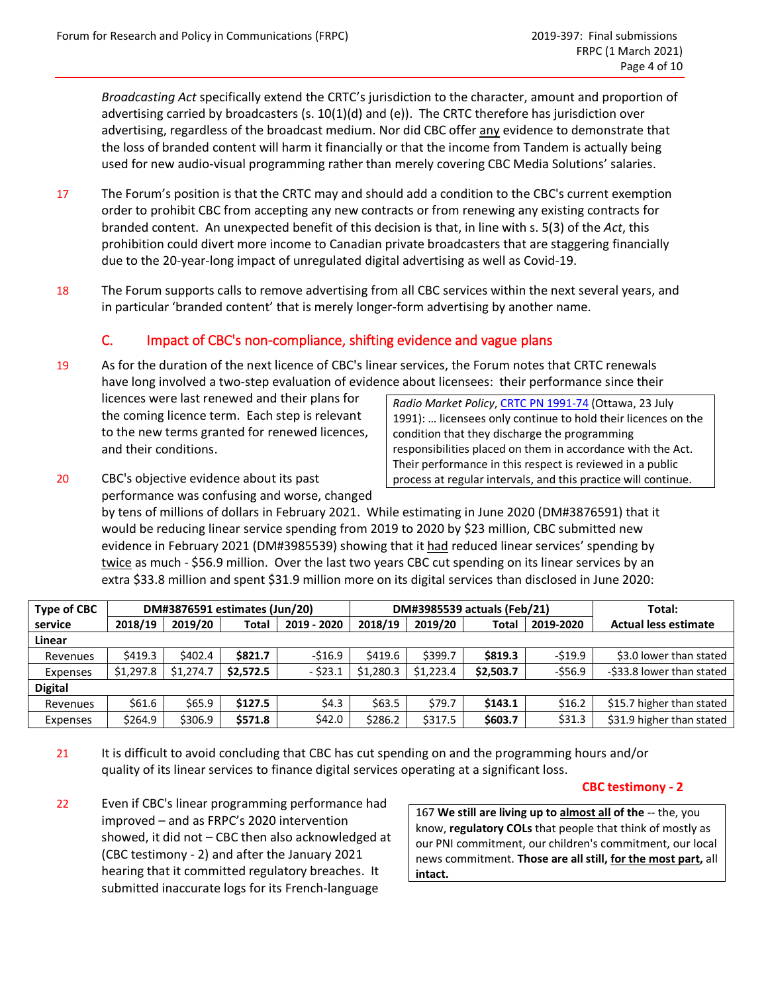*Broadcasting Act* specifically extend the CRTC's jurisdiction to the character, amount and proportion of advertising carried by broadcasters (s. 10(1)(d) and (e)). The CRTC therefore has jurisdiction over advertising, regardless of the broadcast medium. Nor did CBC offer any evidence to demonstrate that the loss of branded content will harm it financially or that the income from Tandem is actually being used for new audio-visual programming rather than merely covering CBC Media Solutions' salaries.

- 17 The Forum's position is that the CRTC may and should add a condition to the CBC's current exemption order to prohibit CBC from accepting any new contracts or from renewing any existing contracts for branded content. An unexpected benefit of this decision is that, in line with s. 5(3) of the *Act*, this prohibition could divert more income to Canadian private broadcasters that are staggering financially due to the 20-year-long impact of unregulated digital advertising as well as Covid-19.
- 18 The Forum supports calls to remove advertising from all CBC services within the next several years, and in particular 'branded content' that is merely longer-form advertising by another name.

# C. Impact of CBC's non-compliance, shifting evidence and vague plans

19 As for the duration of the next licence of CBC's linear services, the Forum notes that CRTC renewals have long involved a two-step evaluation of evidence about licensees: their performance since their

licences were last renewed and their plans for the coming licence term. Each step is relevant to the new terms granted for renewed licences, and their conditions.

*Radio Market Policy*, [CRTC PN 1991-74](https://crtc.gc.ca/eng/archive/1991/pb91-74.htm) (Ottawa, 23 July 1991): … licensees only continue to hold their licences on the condition that they discharge the programming responsibilities placed on them in accordance with the Act. Their performance in this respect is reviewed in a public process at regular intervals, and this practice will continue.

20 CBC's objective evidence about its past performance was confusing and worse, changed

by tens of millions of dollars in February 2021. While estimating in June 2020 (DM#3876591) that it would be reducing linear service spending from 2019 to 2020 by \$23 million, CBC submitted new evidence in February 2021 (DM#3985539) showing that it had reduced linear services' spending by twice as much - \$56.9 million. Over the last two years CBC cut spending on its linear services by an extra \$33.8 million and spent \$31.9 million more on its digital services than disclosed in June 2020:

| <b>Type of CBC</b> | DM#3876591 estimates (Jun/20) |           |           |             | DM#3985539 actuals (Feb/21) |           |              |            | Total:                      |
|--------------------|-------------------------------|-----------|-----------|-------------|-----------------------------|-----------|--------------|------------|-----------------------------|
| service            | 2018/19                       | 2019/20   | Total     | 2019 - 2020 | 2018/19                     | 2019/20   | <b>Total</b> | 2019-2020  | <b>Actual less estimate</b> |
| Linear             |                               |           |           |             |                             |           |              |            |                             |
| Revenues           | \$419.3                       | \$402.4   | \$821.7   | -\$16.9     | \$419.6                     | \$399.7   | \$819.3      | $-519.9$   | \$3.0 lower than stated     |
| Expenses           | \$1,297.8                     | \$1,274.7 | \$2.572.5 | - \$23.1    | \$1,280.3                   | \$1.223.4 | \$2,503.7    | $-$ \$56.9 | -\$33.8 lower than stated   |
| <b>Digital</b>     |                               |           |           |             |                             |           |              |            |                             |
| Revenues           | \$61.6                        | \$65.9    | \$127.5   | \$4.3       | \$63.5                      | \$79.7    | \$143.1      | \$16.2     | \$15.7 higher than stated   |
| Expenses           | \$264.9                       | \$306.9   | \$571.8   | \$42.0      | \$286.2                     | \$317.5   | \$603.7      | \$31.3     | \$31.9 higher than stated   |

21 It is difficult to avoid concluding that CBC has cut spending on and the programming hours and/or quality of its linear services to finance digital services operating at a significant loss.

#### **CBC testimony - 2**

<span id="page-3-0"></span>22 Even if CBC's linear programming performance had improved – and as FRPC's 2020 intervention showed, it did not – CBC then also acknowledged at [\(CBC testimony -](#page-3-0) 2) and after the January 2021 hearing that it committed regulatory breaches. It submitted inaccurate logs for its French-language

167 **We still are living up to almost all of the** -- the, you know, **regulatory COLs** that people that think of mostly as our PNI commitment, our children's commitment, our local news commitment. **Those are all still, for the most part,** all **intact.**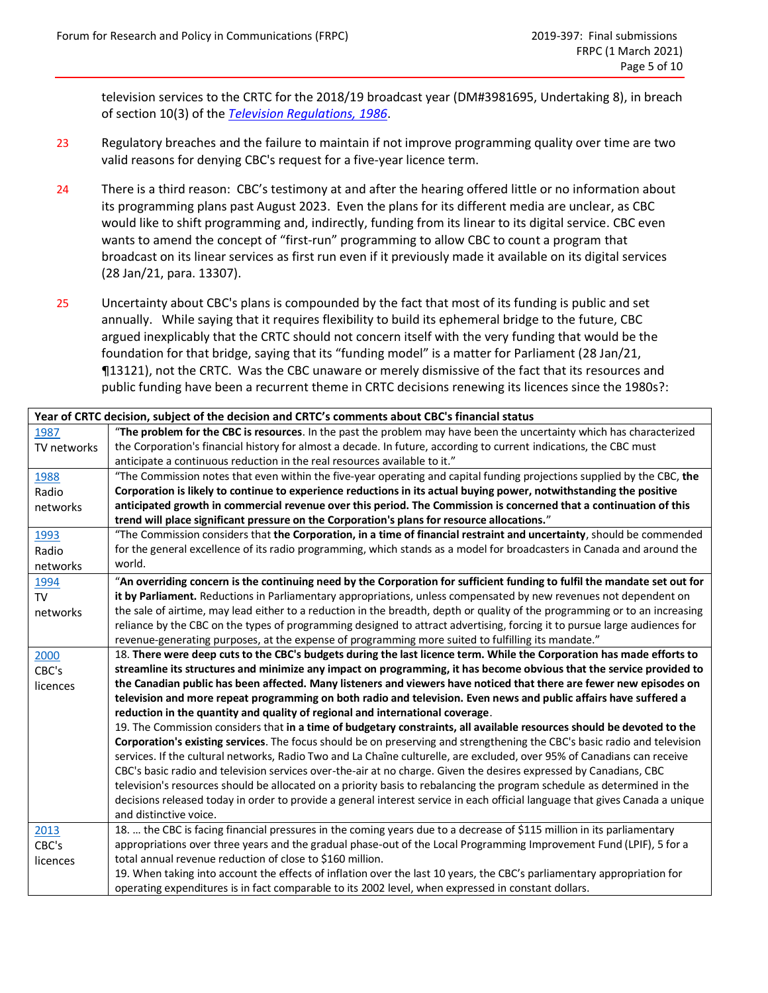television services to the CRTC for the 2018/19 broadcast year (DM#3981695, Undertaking 8), in breach of section 10(3) of the *Television [Regulations,](https://laws.justice.gc.ca/eng/regulations/SOR-87-49/page-3.html#h-906312) 1986*.

- 23 Regulatory breaches and the failure to maintain if not improve programming quality over time are two valid reasons for denying CBC's request for a five-year licence term.
- 24 There is a third reason: CBC's testimony at and after the hearing offered little or no information about its programming plans past August 2023. Even the plans for its different media are unclear, as CBC would like to shift programming and, indirectly, funding from its linear to its digital service. CBC even wants to amend the concept of "first-run" programming to allow CBC to count a program that broadcast on its linear services as first run even if it previously made it available on its digital services (28 Jan/21, para. 13307).
- 25 Uncertainty about CBC's plans is compounded by the fact that most of its funding is public and set annually. While saying that it requires flexibility to build its ephemeral bridge to the future, CBC argued inexplicably that the CRTC should not concern itself with the very funding that would be the foundation for that bridge, saying that its "funding model" is a matter for Parliament (28 Jan/21, ¶13121), not the CRTC. Was the CBC unaware or merely dismissive of the fact that its resources and public funding have been a recurrent theme in CRTC decisions renewing its licences since the 1980s?:

| Year of CRTC decision, subject of the decision and CRTC's comments about CBC's financial status |                                                                                                                              |  |  |  |  |  |  |
|-------------------------------------------------------------------------------------------------|------------------------------------------------------------------------------------------------------------------------------|--|--|--|--|--|--|
| 1987                                                                                            | "The problem for the CBC is resources. In the past the problem may have been the uncertainty which has characterized         |  |  |  |  |  |  |
| TV networks                                                                                     | the Corporation's financial history for almost a decade. In future, according to current indications, the CBC must           |  |  |  |  |  |  |
|                                                                                                 | anticipate a continuous reduction in the real resources available to it."                                                    |  |  |  |  |  |  |
| 1988                                                                                            | "The Commission notes that even within the five-year operating and capital funding projections supplied by the CBC, the      |  |  |  |  |  |  |
| Radio                                                                                           | Corporation is likely to continue to experience reductions in its actual buying power, notwithstanding the positive          |  |  |  |  |  |  |
| networks                                                                                        | anticipated growth in commercial revenue over this period. The Commission is concerned that a continuation of this           |  |  |  |  |  |  |
|                                                                                                 | trend will place significant pressure on the Corporation's plans for resource allocations."                                  |  |  |  |  |  |  |
| 1993                                                                                            | "The Commission considers that the Corporation, in a time of financial restraint and uncertainty, should be commended        |  |  |  |  |  |  |
| Radio                                                                                           | for the general excellence of its radio programming, which stands as a model for broadcasters in Canada and around the       |  |  |  |  |  |  |
| networks                                                                                        | world.                                                                                                                       |  |  |  |  |  |  |
| 1994                                                                                            | "An overriding concern is the continuing need by the Corporation for sufficient funding to fulfil the mandate set out for    |  |  |  |  |  |  |
| <b>TV</b>                                                                                       | it by Parliament. Reductions in Parliamentary appropriations, unless compensated by new revenues not dependent on            |  |  |  |  |  |  |
| networks                                                                                        | the sale of airtime, may lead either to a reduction in the breadth, depth or quality of the programming or to an increasing  |  |  |  |  |  |  |
|                                                                                                 | reliance by the CBC on the types of programming designed to attract advertising, forcing it to pursue large audiences for    |  |  |  |  |  |  |
|                                                                                                 | revenue-generating purposes, at the expense of programming more suited to fulfilling its mandate."                           |  |  |  |  |  |  |
| 2000                                                                                            | 18. There were deep cuts to the CBC's budgets during the last licence term. While the Corporation has made efforts to        |  |  |  |  |  |  |
| CBC's                                                                                           | streamline its structures and minimize any impact on programming, it has become obvious that the service provided to         |  |  |  |  |  |  |
| licences                                                                                        | the Canadian public has been affected. Many listeners and viewers have noticed that there are fewer new episodes on          |  |  |  |  |  |  |
|                                                                                                 | television and more repeat programming on both radio and television. Even news and public affairs have suffered a            |  |  |  |  |  |  |
|                                                                                                 | reduction in the quantity and quality of regional and international coverage.                                                |  |  |  |  |  |  |
|                                                                                                 | 19. The Commission considers that in a time of budgetary constraints, all available resources should be devoted to the       |  |  |  |  |  |  |
|                                                                                                 | Corporation's existing services. The focus should be on preserving and strengthening the CBC's basic radio and television    |  |  |  |  |  |  |
|                                                                                                 | services. If the cultural networks, Radio Two and La Chaîne culturelle, are excluded, over 95% of Canadians can receive      |  |  |  |  |  |  |
|                                                                                                 | CBC's basic radio and television services over-the-air at no charge. Given the desires expressed by Canadians, CBC           |  |  |  |  |  |  |
|                                                                                                 | television's resources should be allocated on a priority basis to rebalancing the program schedule as determined in the      |  |  |  |  |  |  |
|                                                                                                 | decisions released today in order to provide a general interest service in each official language that gives Canada a unique |  |  |  |  |  |  |
|                                                                                                 | and distinctive voice.                                                                                                       |  |  |  |  |  |  |
| 2013                                                                                            | 18.  the CBC is facing financial pressures in the coming years due to a decrease of \$115 million in its parliamentary       |  |  |  |  |  |  |
| CBC's                                                                                           | appropriations over three years and the gradual phase-out of the Local Programming Improvement Fund (LPIF), 5 for a          |  |  |  |  |  |  |
| licences                                                                                        | total annual revenue reduction of close to \$160 million.                                                                    |  |  |  |  |  |  |
|                                                                                                 | 19. When taking into account the effects of inflation over the last 10 years, the CBC's parliamentary appropriation for      |  |  |  |  |  |  |
|                                                                                                 | operating expenditures is in fact comparable to its 2002 level, when expressed in constant dollars.                          |  |  |  |  |  |  |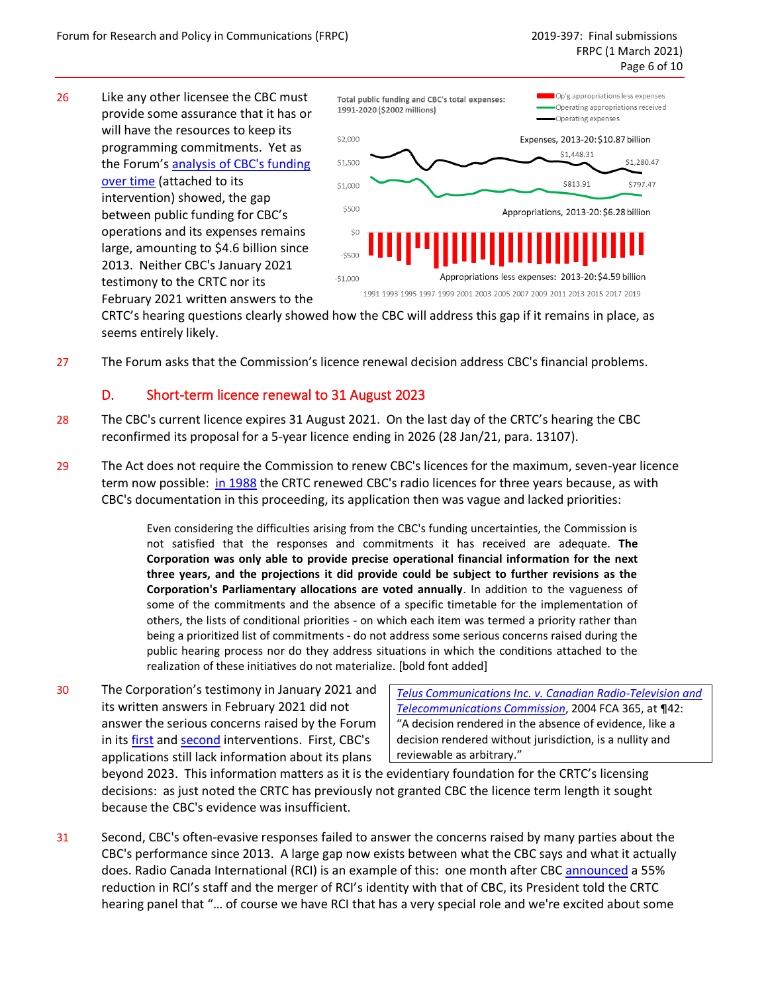26 Like any other licensee the CBC must provide some assurance that it has or will have the resources to keep its programming commitments. Yet as the Forum's [analysis of CBC's](https://frpc.net/wp-content/uploads/2020/02/Public-funding-of-CBC-operations-2020-4-February.pdf) funding [over time](https://frpc.net/wp-content/uploads/2020/02/Public-funding-of-CBC-operations-2020-4-February.pdf) (attached to its intervention) showed, the gap between public funding for CBC's operations and its expenses remains large, amounting to \$4.6 billion since 2013. Neither CBC's January 2021 testimony to the CRTC nor its February 2021 written answers to the



CRTC's hearing questions clearly showed how the CBC will address this gap if it remains in place, as seems entirely likely.

27 The Forum asks that the Commission's licence renewal decision address CBC's financial problems.

## D. Short-term licence renewal to 31 August 2023

- 28 The CBC's current licence expires 31 August 2021. On the last day of the CRTC's hearing the CBC reconfirmed its proposal for a 5-year licence ending in 2026 (28 Jan/21, para. 13107).
- 29 The Act does not require the Commission to renew CBC's licences for the maximum, seven-year licence term now possible: [in 1988](https://crtc.gc.ca/eng/archive/1988/db88-181.htm) the CRTC renewed CBC's radio licences for three years because, as with CBC's documentation in this proceeding, its application then was vague and lacked priorities:

Even considering the difficulties arising from the CBC's funding uncertainties, the Commission is not satisfied that the responses and commitments it has received are adequate. **The Corporation was only able to provide precise operational financial information for the next three years, and the projections it did provide could be subject to further revisions as the Corporation's Parliamentary allocations are voted annually**. In addition to the vagueness of some of the commitments and the absence of a specific timetable for the implementation of others, the lists of conditional priorities - on which each item was termed a priority rather than being a prioritized list of commitments - do not address some serious concerns raised during the public hearing process nor do they address situations in which the conditions attached to the realization of these initiatives do not materialize. [bold font added]

30 The Corporation's testimony in January 2021 and its written answers in February 2021 did not answer the serious concerns raised by the Forum in its [first](https://frpc.net/wp-content/uploads/2020/02/2020-20-Feb-2019-379-FRPC-intervention.pdf) and [second](https://frpc.net/wp-content/uploads/2020/09/2019-379-3-Phase-2-intervention-FRPC.pdf) interventions. First, CBC's applications still lack information about its plans

*Te[lus Communications Inc. v. Canadian Radio‐Television and](https://www.canlii.org/en/ca/fca/doc/2004/2004fca365/2004fca365.html?resultIndex=1)  [Telecommunications Commission](https://www.canlii.org/en/ca/fca/doc/2004/2004fca365/2004fca365.html?resultIndex=1)*, 2004 FCA 365, at ¶42: "A decision rendered in the absence of evidence, like a decision rendered without jurisdiction, is a nullity and reviewable as arbitrary."

beyond 2023. This information matters as it is the evidentiary foundation for the CRTC's licensing decisions: as just noted the CRTC has previously not granted CBC the licence term length it sought because the CBC's evidence was insufficient.

31 Second, CBC's often-evasive responses failed to answer the concerns raised by many parties about the CBC's performance since 2013. A large gap now exists between what the CBC says and what it actually does. Radio Canada International (RCI) is an example of this: one month after CBC [announced](https://broadcastdialogue.com/major-transformation-of-radio-canada-international-includes-smaller-team-more-language-offerings/) a 55% reduction in RCI's staff and the merger of RCI's identity with that of CBC, its President told the CRTC hearing panel that "… of course we have RCI that has a very special role and we're excited about some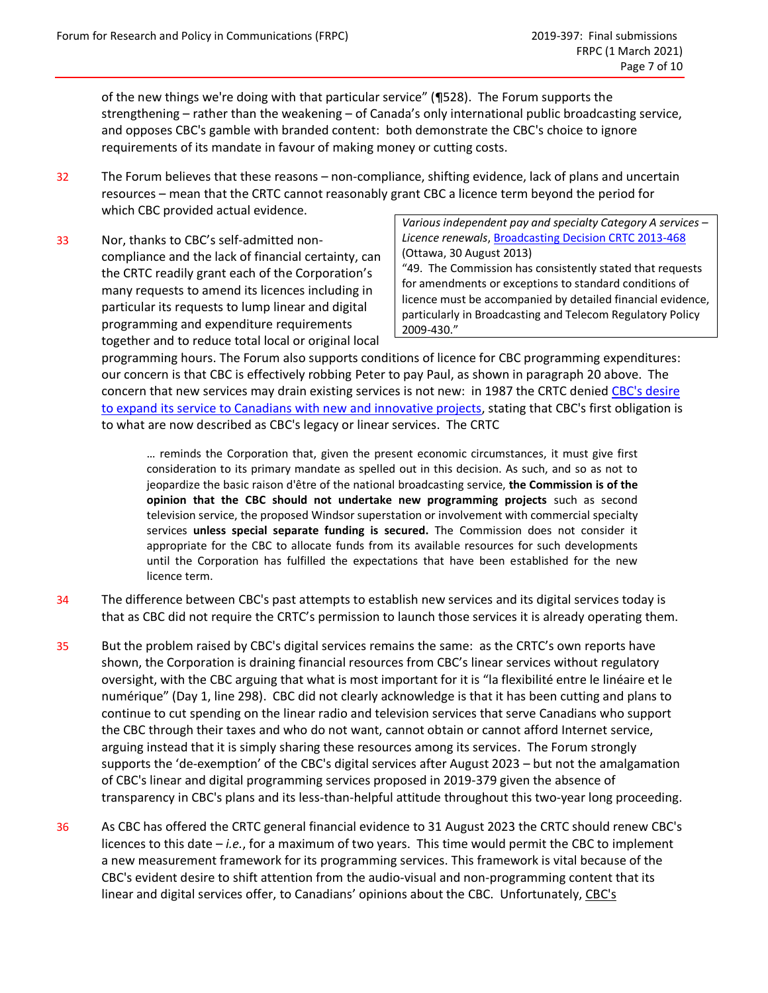of the new things we're doing with that particular service" (¶528). The Forum supports the strengthening – rather than the weakening – of Canada's only international public broadcasting service, and opposes CBC's gamble with branded content: both demonstrate the CBC's choice to ignore requirements of its mandate in favour of making money or cutting costs.

- 32 The Forum believes that these reasons non-compliance, shifting evidence, lack of plans and uncertain resources – mean that the CRTC cannot reasonably grant CBC a licence term beyond the period for which CBC provided actual evidence.
- 33 Nor, thanks to CBC's self-admitted noncompliance and the lack of financial certainty, can the CRTC readily grant each of the Corporation's many requests to amend its licences including in particular its requests to lump linear and digital programming and expenditure requirements together and to reduce total local or original local

*Various independent pay and specialty Category A services – Licence renewals*[, Broadcasting Decision CRTC 2013-468](https://crtc.gc.ca/eng/archive/2013/2013-468.htm) (Ottawa, 30 August 2013)

"49. The Commission has consistently stated that requests for amendments or exceptions to standard conditions of licence must be accompanied by detailed financial evidence, particularly in Broadcasting and Telecom Regulatory Policy 2009-430."

programming hours. The Forum also supports conditions of licence for CBC programming expenditures: our concern is that CBC is effectively robbing Peter to pay Paul, as shown in paragraph 20 above. The concern that new services may drain existing services is not new: in 1987 the CRTC denied CBC's desire [to expand its service to Canadians](https://crtc.gc.ca/eng/archive/1987/db87-140.htm) with new and innovative projects, stating that CBC's first obligation is to what are now described as CBC's legacy or linear services. The CRTC

… reminds the Corporation that, given the present economic circumstances, it must give first consideration to its primary mandate as spelled out in this decision. As such, and so as not to jeopardize the basic raison d'être of the national broadcasting service, **the Commission is of the opinion that the CBC should not undertake new programming projects** such as second television service, the proposed Windsor superstation or involvement with commercial specialty services **unless special separate funding is secured.** The Commission does not consider it appropriate for the CBC to allocate funds from its available resources for such developments until the Corporation has fulfilled the expectations that have been established for the new licence term.

- 34 The difference between CBC's past attempts to establish new services and its digital services today is that as CBC did not require the CRTC's permission to launch those services it is already operating them.
- 35 But the problem raised by CBC's digital services remains the same: as the CRTC's own reports have shown, the Corporation is draining financial resources from CBC's linear services without regulatory oversight, with the CBC arguing that what is most important for it is "la flexibilité entre le linéaire et le numérique" (Day 1, line 298). CBC did not clearly acknowledge is that it has been cutting and plans to continue to cut spending on the linear radio and television services that serve Canadians who support the CBC through their taxes and who do not want, cannot obtain or cannot afford Internet service, arguing instead that it is simply sharing these resources among its services. The Forum strongly supports the 'de-exemption' of the CBC's digital services after August 2023 – but not the amalgamation of CBC's linear and digital programming services proposed in 2019-379 given the absence of transparency in CBC's plans and its less-than-helpful attitude throughout this two-year long proceeding.
- 36 As CBC has offered the CRTC general financial evidence to 31 August 2023 the CRTC should renew CBC's licences to this date – *i.e.*, for a maximum of two years. This time would permit the CBC to implement a new measurement framework for its programming services. This framework is vital because of the CBC's evident desire to shift attention from the audio-visual and non-programming content that its linear and digital services offer, to Canadians' opinions about the CBC. Unfortunately, CBC's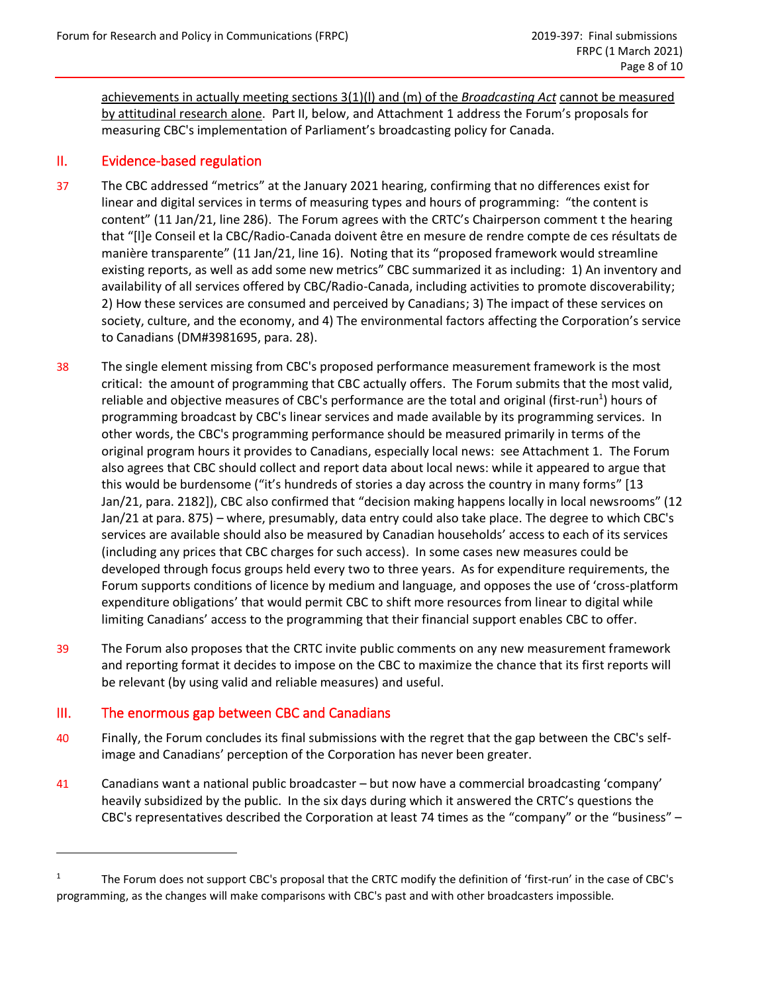achievements in actually meeting sections 3(1)(l) and (m) of the *Broadcasting Act* cannot be measured by attitudinal research alone. Part II, below, and Attachment 1 address the Forum's proposals for measuring CBC's implementation of Parliament's broadcasting policy for Canada.

## II. Evidence-based regulation

- 37 The CBC addressed "metrics" at the January 2021 hearing, confirming that no differences exist for linear and digital services in terms of measuring types and hours of programming: "the content is content" (11 Jan/21, line 286). The Forum agrees with the CRTC's Chairperson comment t the hearing that "[l]e Conseil et la CBC/Radio-Canada doivent être en mesure de rendre compte de ces résultats de manière transparente" (11 Jan/21, line 16). Noting that its "proposed framework would streamline existing reports, as well as add some new metrics" CBC summarized it as including: 1) An inventory and availability of all services offered by CBC/Radio-Canada, including activities to promote discoverability; 2) How these services are consumed and perceived by Canadians; 3) The impact of these services on society, culture, and the economy, and 4) The environmental factors affecting the Corporation's service to Canadians (DM#3981695, para. 28).
- 38 The single element missing from CBC's proposed performance measurement framework is the most critical: the amount of programming that CBC actually offers. The Forum submits that the most valid, reliable and objective measures of CBC's performance are the total and original (first-run<sup>1</sup>) hours of programming broadcast by CBC's linear services and made available by its programming services. In other words, the CBC's programming performance should be measured primarily in terms of the original program hours it provides to Canadians, especially local news: see Attachment 1. The Forum also agrees that CBC should collect and report data about local news: while it appeared to argue that this would be burdensome ("it's hundreds of stories a day across the country in many forms" [13 Jan/21, para. 2182]), CBC also confirmed that "decision making happens locally in local newsrooms" (12 Jan/21 at para. 875) – where, presumably, data entry could also take place. The degree to which CBC's services are available should also be measured by Canadian households' access to each of its services (including any prices that CBC charges for such access). In some cases new measures could be developed through focus groups held every two to three years. As for expenditure requirements, the Forum supports conditions of licence by medium and language, and opposes the use of 'cross-platform expenditure obligations' that would permit CBC to shift more resources from linear to digital while limiting Canadians' access to the programming that their financial support enables CBC to offer.
- 39 The Forum also proposes that the CRTC invite public comments on any new measurement framework and reporting format it decides to impose on the CBC to maximize the chance that its first reports will be relevant (by using valid and reliable measures) and useful.

# III. The enormous gap between CBC and Canadians

- 40 Finally, the Forum concludes its final submissions with the regret that the gap between the CBC's selfimage and Canadians' perception of the Corporation has never been greater.
- 41 Canadians want a national public broadcaster but now have a commercial broadcasting 'company' heavily subsidized by the public. In the six days during which it answered the CRTC's questions the CBC's representatives described the Corporation at least 74 times as the "company" or the "business" –

<sup>&</sup>lt;sup>1</sup> The Forum does not support CBC's proposal that the CRTC modify the definition of 'first-run' in the case of CBC's programming, as the changes will make comparisons with CBC's past and with other broadcasters impossible.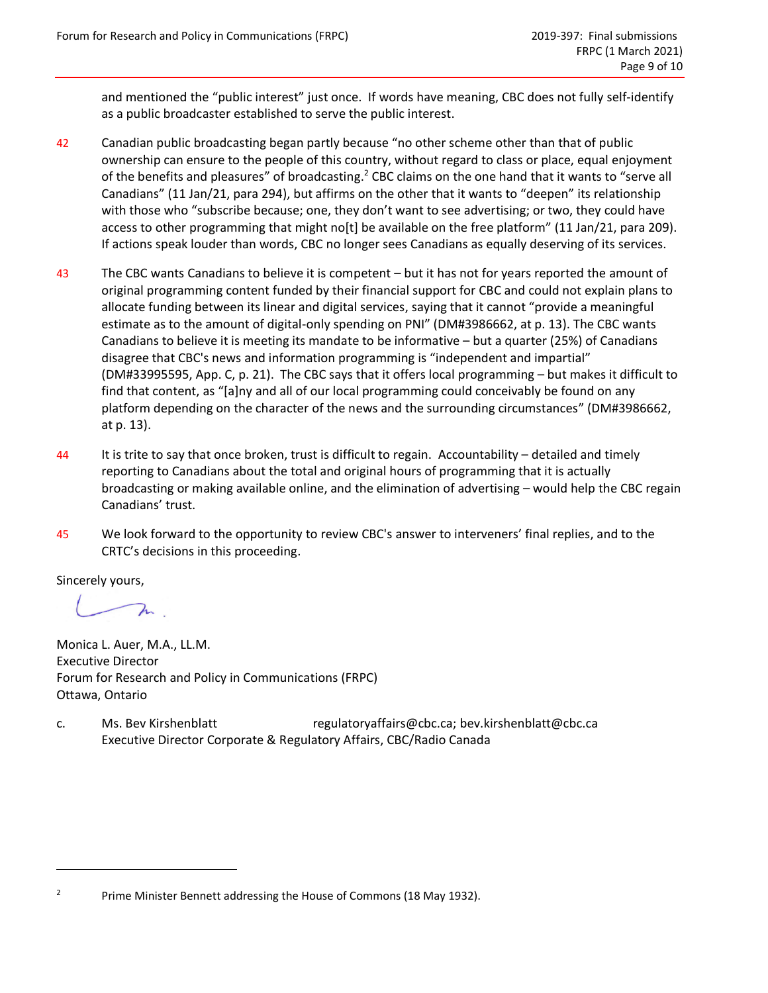and mentioned the "public interest" just once. If words have meaning, CBC does not fully self-identify as a public broadcaster established to serve the public interest.

- 42 Canadian public broadcasting began partly because "no other scheme other than that of public ownership can ensure to the people of this country, without regard to class or place, equal enjoyment of the benefits and pleasures" of broadcasting.<sup>2</sup> CBC claims on the one hand that it wants to "serve all Canadians" (11 Jan/21, para 294), but affirms on the other that it wants to "deepen" its relationship with those who "subscribe because; one, they don't want to see advertising; or two, they could have access to other programming that might no[t] be available on the free platform" (11 Jan/21, para 209). If actions speak louder than words, CBC no longer sees Canadians as equally deserving of its services.
- 43 The CBC wants Canadians to believe it is competent but it has not for years reported the amount of original programming content funded by their financial support for CBC and could not explain plans to allocate funding between its linear and digital services, saying that it cannot "provide a meaningful estimate as to the amount of digital-only spending on PNI" (DM#3986662, at p. 13). The CBC wants Canadians to believe it is meeting its mandate to be informative – but a quarter (25%) of Canadians disagree that CBC's news and information programming is "independent and impartial" (DM#33995595, App. C, p. 21). The CBC says that it offers local programming – but makes it difficult to find that content, as "[a]ny and all of our local programming could conceivably be found on any platform depending on the character of the news and the surrounding circumstances" (DM#3986662, at p. 13).
- 44 It is trite to say that once broken, trust is difficult to regain. Accountability detailed and timely reporting to Canadians about the total and original hours of programming that it is actually broadcasting or making available online, and the elimination of advertising – would help the CBC regain Canadians' trust.
- 45 We look forward to the opportunity to review CBC's answer to interveners' final replies, and to the CRTC's decisions in this proceeding.

Sincerely yours,

 $\lambda$ 

Monica L. Auer, M.A., LL.M. Executive Director Forum for Research and Policy in Communications (FRPC) Ottawa, Ontario

c. Ms. Bev Kirshenblatt [regulatoryaffairs@cbc.ca;](mailto:regulatoryaffairs@cbc.ca) bev.kirshenblatt@cbc.ca Executive Director Corporate & Regulatory Affairs, CBC/Radio Canada

<sup>&</sup>lt;sup>2</sup> Prime Minister Bennett addressing the House of Commons (18 May 1932).